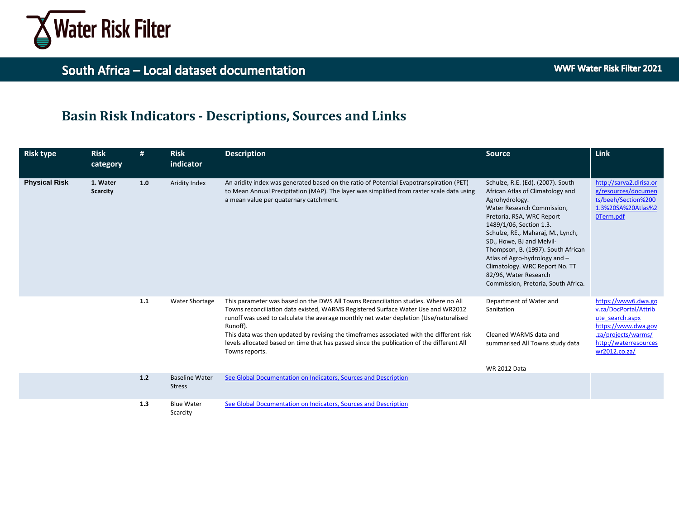

## **Basin Risk Indicators - Descriptions, Sources and Links**

| <b>Risk type</b>     | <b>Risk</b><br>category     | #     | <b>Risk</b><br>indicator               | <b>Description</b>                                                                                                                                                                                                                                                                                                                                                                                                                                                                     | <b>Source</b>                                                                                                                                                                                                                                                                                                                                                                                                            | <b>Link</b>                                                                                                                                             |
|----------------------|-----------------------------|-------|----------------------------------------|----------------------------------------------------------------------------------------------------------------------------------------------------------------------------------------------------------------------------------------------------------------------------------------------------------------------------------------------------------------------------------------------------------------------------------------------------------------------------------------|--------------------------------------------------------------------------------------------------------------------------------------------------------------------------------------------------------------------------------------------------------------------------------------------------------------------------------------------------------------------------------------------------------------------------|---------------------------------------------------------------------------------------------------------------------------------------------------------|
| <b>Physical Risk</b> | 1. Water<br><b>Scarcity</b> | 1.0   | Aridity Index                          | An aridity index was generated based on the ratio of Potential Evapotranspiration (PET)<br>to Mean Annual Precipitation (MAP). The layer was simplified from raster scale data using<br>a mean value per quaternary catchment.                                                                                                                                                                                                                                                         | Schulze, R.E. (Ed). (2007). South<br>African Atlas of Climatology and<br>Agrohydrology.<br>Water Research Commission,<br>Pretoria, RSA, WRC Report<br>1489/1/06, Section 1.3.<br>Schulze, RE., Maharaj, M., Lynch,<br>SD., Howe, BJ and Melvil-<br>Thompson, B. (1997). South African<br>Atlas of Agro-hydrology and -<br>Climatology. WRC Report No. TT<br>82/96, Water Research<br>Commission, Pretoria, South Africa. | http://sarva2.dirisa.or<br>g/resources/documen<br>ts/beeh/Section%200<br>1.3%20SA%20Atlas%2<br>OTerm.pdf                                                |
|                      |                             | $1.1$ | <b>Water Shortage</b>                  | This parameter was based on the DWS All Towns Reconciliation studies. Where no All<br>Towns reconciliation data existed, WARMS Registered Surface Water Use and WR2012<br>runoff was used to calculate the average monthly net water depletion (Use/naturalised<br>Runoff).<br>This data was then updated by revising the timeframes associated with the different risk<br>levels allocated based on time that has passed since the publication of the different All<br>Towns reports. | Department of Water and<br>Sanitation<br>Cleaned WARMS data and<br>summarised All Towns study data                                                                                                                                                                                                                                                                                                                       | https://www6.dwa.go<br>v.za/DocPortal/Attrib<br>ute search.aspx<br>https://www.dwa.gov<br>.za/projects/warms/<br>http://waterresources<br>wr2012.co.za/ |
|                      |                             | $1.2$ | <b>Baseline Water</b><br><b>Stress</b> | See Global Documentation on Indicators, Sources and Description                                                                                                                                                                                                                                                                                                                                                                                                                        | <b>WR 2012 Data</b>                                                                                                                                                                                                                                                                                                                                                                                                      |                                                                                                                                                         |
|                      |                             | 1.3   | <b>Blue Water</b><br>Scarcity          | See Global Documentation on Indicators, Sources and Description                                                                                                                                                                                                                                                                                                                                                                                                                        |                                                                                                                                                                                                                                                                                                                                                                                                                          |                                                                                                                                                         |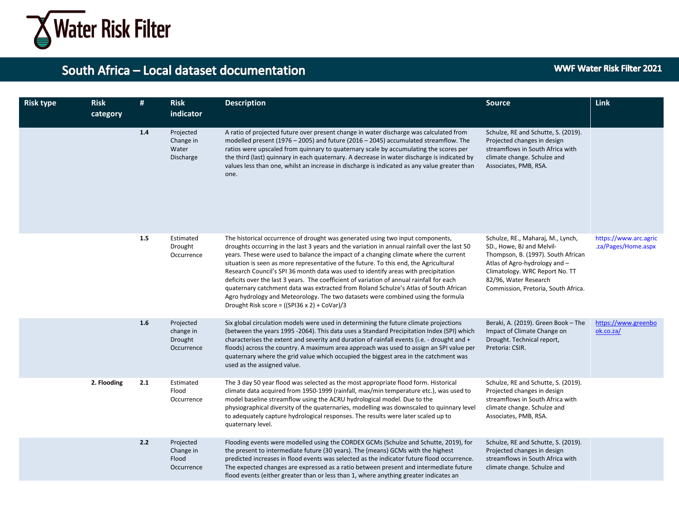

| <b>Risk type</b> | <b>Risk</b><br>category | #   | <b>Risk</b><br>indicator                        | <b>Description</b>                                                                                                                                                                                                                                                                                                                                                                                                                                                                                                                                                                                                                                                                                                                                                                   | <b>Source</b>                                                                                                                                                                                                                           | Link                                         |
|------------------|-------------------------|-----|-------------------------------------------------|--------------------------------------------------------------------------------------------------------------------------------------------------------------------------------------------------------------------------------------------------------------------------------------------------------------------------------------------------------------------------------------------------------------------------------------------------------------------------------------------------------------------------------------------------------------------------------------------------------------------------------------------------------------------------------------------------------------------------------------------------------------------------------------|-----------------------------------------------------------------------------------------------------------------------------------------------------------------------------------------------------------------------------------------|----------------------------------------------|
|                  |                         | 1.4 | Projected<br>Change in<br>Water<br>Discharge    | A ratio of projected future over present change in water discharge was calculated from<br>modelled present (1976 – 2005) and future (2016 – 2045) accumulated streamflow. The<br>ratios were upscaled from quinnary to quaternary scale by accumulating the scores per<br>the third (last) quinnary in each quaternary. A decrease in water discharge is indicated by<br>values less than one, whilst an increase in discharge is indicated as any value greater than<br>one.                                                                                                                                                                                                                                                                                                        | Schulze, RE and Schutte, S. (2019).<br>Projected changes in design<br>streamflows in South Africa with<br>climate change. Schulze and<br>Associates, PMB, RSA.                                                                          |                                              |
|                  |                         | 1.5 | Estimated<br>Drought<br>Occurrence              | The historical occurrence of drought was generated using two input components,<br>droughts occurring in the last 3 years and the variation in annual rainfall over the last 50<br>years. These were used to balance the impact of a changing climate where the current<br>situation is seen as more representative of the future. To this end, the Agricultural<br>Research Council's SPI 36 month data was used to identify areas with precipitation<br>deficits over the last 3 years. The coefficient of variation of annual rainfall for each<br>quaternary catchment data was extracted from Roland Schulze's Atlas of South African<br>Agro hydrology and Meteorology. The two datasets were combined using the formula<br>Drought Risk score = $((SP136 \times 2) + CoVar)/3$ | Schulze, RE., Maharaj, M., Lynch,<br>SD., Howe, BJ and Melvil-<br>Thompson, B. (1997). South African<br>Atlas of Agro-hydrology and -<br>Climatology. WRC Report No. TT<br>82/96, Water Research<br>Commission, Pretoria, South Africa. | https://www.arc.agric<br>.za/Pages/Home.aspx |
|                  |                         | 1.6 | Projected<br>change in<br>Drought<br>Occurrence | Six global circulation models were used in determining the future climate projections<br>(between the years 1995 -2064). This data uses a Standard Precipitation Index (SPI) which<br>characterises the extent and severity and duration of rainfall events (i.e. - drought and +<br>floods) across the country. A maximum area approach was used to assign an SPI value per<br>quaternary where the grid value which occupied the biggest area in the catchment was<br>used as the assigned value.                                                                                                                                                                                                                                                                                  | Beraki, A. (2019). Green Book - The<br>Impact of Climate Change on<br>Drought. Technical report,<br>Pretoria: CSIR.                                                                                                                     | https://www.greenbo<br>ok.co.za/             |
|                  | 2. Flooding             | 2.1 | Estimated<br>Flood<br>Occurrence                | The 3 day 50 year flood was selected as the most appropriate flood form. Historical<br>climate data acquired from 1950-1999 (rainfall, max/min temperature etc.), was used to<br>model baseline streamflow using the ACRU hydrological model. Due to the<br>physiographical diversity of the quaternaries, modelling was downscaled to quinnary level<br>to adequately capture hydrological responses. The results were later scaled up to<br>quaternary level.                                                                                                                                                                                                                                                                                                                      | Schulze, RE and Schutte, S. (2019).<br>Projected changes in design<br>streamflows in South Africa with<br>climate change. Schulze and<br>Associates, PMB, RSA.                                                                          |                                              |
|                  |                         | 2.2 | Projected<br>Change in<br>Flood<br>Occurrence   | Flooding events were modelled using the CORDEX GCMs (Schulze and Schutte, 2019), for<br>the present to intermediate future (30 years). The (means) GCMs with the highest<br>predicted increases in flood events was selected as the indicator future flood occurrence.<br>The expected changes are expressed as a ratio between present and intermediate future<br>flood events (either greater than or less than 1, where anything greater indicates an                                                                                                                                                                                                                                                                                                                             | Schulze, RE and Schutte, S. (2019).<br>Projected changes in design<br>streamflows in South Africa with<br>climate change. Schulze and                                                                                                   |                                              |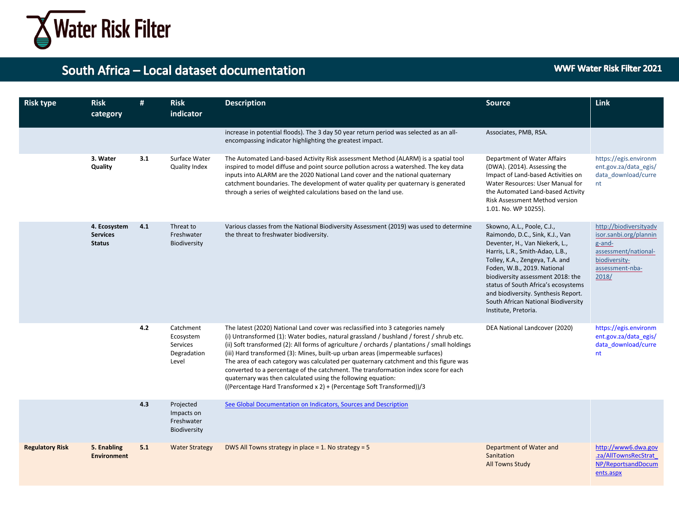

| <b>Risk type</b>       | <b>Risk</b><br>category                          | #   | <b>Risk</b><br>indicator                                   | <b>Description</b>                                                                                                                                                                                                                                                                                                                                                                                                                                                                                                                                                                                                                                                                     | <b>Source</b>                                                                                                                                                                                                                                                                                                                                                                          | <b>Link</b>                                                                                                                     |
|------------------------|--------------------------------------------------|-----|------------------------------------------------------------|----------------------------------------------------------------------------------------------------------------------------------------------------------------------------------------------------------------------------------------------------------------------------------------------------------------------------------------------------------------------------------------------------------------------------------------------------------------------------------------------------------------------------------------------------------------------------------------------------------------------------------------------------------------------------------------|----------------------------------------------------------------------------------------------------------------------------------------------------------------------------------------------------------------------------------------------------------------------------------------------------------------------------------------------------------------------------------------|---------------------------------------------------------------------------------------------------------------------------------|
|                        |                                                  |     |                                                            | increase in potential floods). The 3 day 50 year return period was selected as an all-<br>encompassing indicator highlighting the greatest impact.                                                                                                                                                                                                                                                                                                                                                                                                                                                                                                                                     | Associates, PMB, RSA.                                                                                                                                                                                                                                                                                                                                                                  |                                                                                                                                 |
|                        | 3. Water<br>Quality                              | 3.1 | Surface Water<br>Quality Index                             | The Automated Land-based Activity Risk assessment Method (ALARM) is a spatial tool<br>inspired to model diffuse and point source pollution across a watershed. The key data<br>inputs into ALARM are the 2020 National Land cover and the national quaternary<br>catchment boundaries. The development of water quality per quaternary is generated<br>through a series of weighted calculations based on the land use.                                                                                                                                                                                                                                                                | Department of Water Affairs<br>(DWA). (2014). Assessing the<br>Impact of Land-based Activities on<br>Water Resources: User Manual for<br>the Automated Land-based Activity<br>Risk Assessment Method version<br>1.01. No. WP 10255).                                                                                                                                                   | https://egis.environm<br>ent.gov.za/data egis/<br>data download/curre<br>nt                                                     |
|                        | 4. Ecosystem<br><b>Services</b><br><b>Status</b> | 4.1 | Threat to<br>Freshwater<br>Biodiversity                    | Various classes from the National Biodiversity Assessment (2019) was used to determine<br>the threat to freshwater biodiversity.                                                                                                                                                                                                                                                                                                                                                                                                                                                                                                                                                       | Skowno, A.L., Poole, C.J.,<br>Raimondo, D.C., Sink, K.J., Van<br>Deventer, H., Van Niekerk, L.,<br>Harris, L.R., Smith-Adao, L.B.,<br>Tolley, K.A., Zengeya, T.A. and<br>Foden, W.B., 2019. National<br>biodiversity assessment 2018: the<br>status of South Africa's ecosystems<br>and biodiversity. Synthesis Report.<br>South African National Biodiversity<br>Institute, Pretoria. | http://biodiversityadv<br>isor.sanbi.org/plannin<br>g-and-<br>assessment/national-<br>biodiversity-<br>assessment-nba-<br>2018/ |
|                        |                                                  | 4.2 | Catchment<br>Ecosystem<br>Services<br>Degradation<br>Level | The latest (2020) National Land cover was reclassified into 3 categories namely<br>(i) Untransformed (1): Water bodies, natural grassland / bushland / forest / shrub etc.<br>(ii) Soft transformed (2): All forms of agriculture / orchards / plantations / small holdings<br>(iii) Hard transformed (3): Mines, built-up urban areas (impermeable surfaces)<br>The area of each category was calculated per quaternary catchment and this figure was<br>converted to a percentage of the catchment. The transformation index score for each<br>quaternary was then calculated using the following equation:<br>((Percentage Hard Transformed x 2) + (Percentage Soft Transformed))/3 | DEA National Landcover (2020)                                                                                                                                                                                                                                                                                                                                                          | https://egis.environm<br>ent.gov.za/data_egis/<br>data download/curre<br>nt                                                     |
|                        |                                                  | 4.3 | Projected<br>Impacts on<br>Freshwater<br>Biodiversity      | See Global Documentation on Indicators, Sources and Description                                                                                                                                                                                                                                                                                                                                                                                                                                                                                                                                                                                                                        |                                                                                                                                                                                                                                                                                                                                                                                        |                                                                                                                                 |
| <b>Regulatory Risk</b> | 5. Enabling<br><b>Environment</b>                | 5.1 | <b>Water Strategy</b>                                      | DWS All Towns strategy in place = 1. No strategy = $5$                                                                                                                                                                                                                                                                                                                                                                                                                                                                                                                                                                                                                                 | Department of Water and<br>Sanitation<br><b>All Towns Study</b>                                                                                                                                                                                                                                                                                                                        | http://www6.dwa.gov<br>.za/AllTownsRecStrat<br>NP/ReportsandDocum<br>ents.aspx                                                  |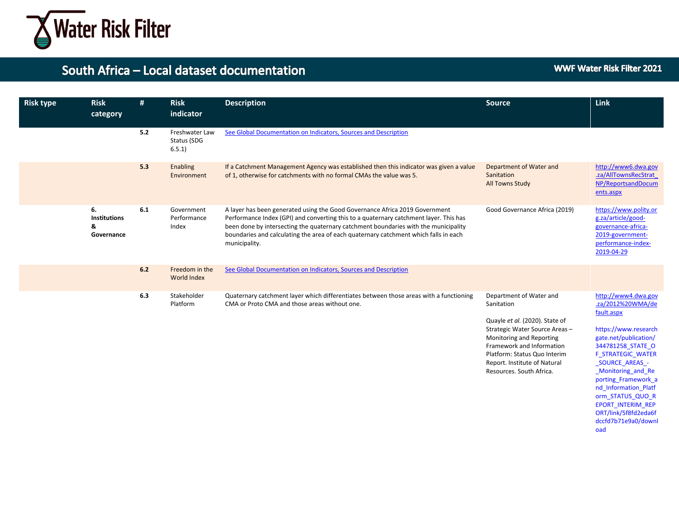

#### WWF Water Risk Filter 2021

| <b>Risk type</b> | <b>Risk</b><br>category                      | #   | <b>Risk</b><br>indicator               | <b>Description</b>                                                                                                                                                                                                                                                                                                                                                   | <b>Source</b>                                                                                                                                                                                                                                                 | <b>Link</b>                                                                                                                                                                                                                                           |
|------------------|----------------------------------------------|-----|----------------------------------------|----------------------------------------------------------------------------------------------------------------------------------------------------------------------------------------------------------------------------------------------------------------------------------------------------------------------------------------------------------------------|---------------------------------------------------------------------------------------------------------------------------------------------------------------------------------------------------------------------------------------------------------------|-------------------------------------------------------------------------------------------------------------------------------------------------------------------------------------------------------------------------------------------------------|
|                  |                                              | 5.2 | Freshwater Law<br>Status (SDG<br>6.5.1 | See Global Documentation on Indicators, Sources and Description                                                                                                                                                                                                                                                                                                      |                                                                                                                                                                                                                                                               |                                                                                                                                                                                                                                                       |
|                  |                                              | 5.3 | Enabling<br>Environment                | If a Catchment Management Agency was established then this indicator was given a value<br>of 1, otherwise for catchments with no formal CMAs the value was 5.                                                                                                                                                                                                        | Department of Water and<br>Sanitation<br><b>All Towns Study</b>                                                                                                                                                                                               | http://www6.dwa.gov<br>.za/AllTownsRecStrat<br>NP/ReportsandDocum<br>ents.aspx                                                                                                                                                                        |
|                  | 6.<br><b>Institutions</b><br>&<br>Governance | 6.1 | Government<br>Performance<br>Index     | A layer has been generated using the Good Governance Africa 2019 Government<br>Performance Index (GPI) and converting this to a quaternary catchment layer. This has<br>been done by intersecting the quaternary catchment boundaries with the municipality<br>boundaries and calculating the area of each quaternary catchment which falls in each<br>municipality. | Good Governance Africa (2019)                                                                                                                                                                                                                                 | https://www.polity.or<br>g.za/article/good-<br>governance-africa-<br>2019-government-<br>performance-index-<br>2019-04-29                                                                                                                             |
|                  |                                              | 6.2 | Freedom in the<br>World Index          | See Global Documentation on Indicators, Sources and Description                                                                                                                                                                                                                                                                                                      |                                                                                                                                                                                                                                                               |                                                                                                                                                                                                                                                       |
|                  |                                              | 6.3 | Stakeholder<br>Platform                | Quaternary catchment layer which differentiates between those areas with a functioning<br>CMA or Proto CMA and those areas without one.                                                                                                                                                                                                                              | Department of Water and<br>Sanitation<br>Quayle et al. (2020). State of<br>Strategic Water Source Areas-<br>Monitoring and Reporting<br>Framework and Information<br>Platform: Status Quo Interim<br>Report. Institute of Natural<br>Resources. South Africa. | http://www4.dwa.gov<br>.za/2012%20WMA/de<br>fault.aspx<br>https://www.research<br>gate.net/publication/<br>344781258 STATE O<br><b>F STRATEGIC WATER</b><br><b>SOURCE AREAS -</b><br>Monitoring and Re<br>porting Framework a<br>nd Information Platf |

orm\_STATUS\_QUO\_R EPORT\_INTERIM\_REP ORT/link/5f8fd2eda6f dccfd7b71e9a0/downl

oad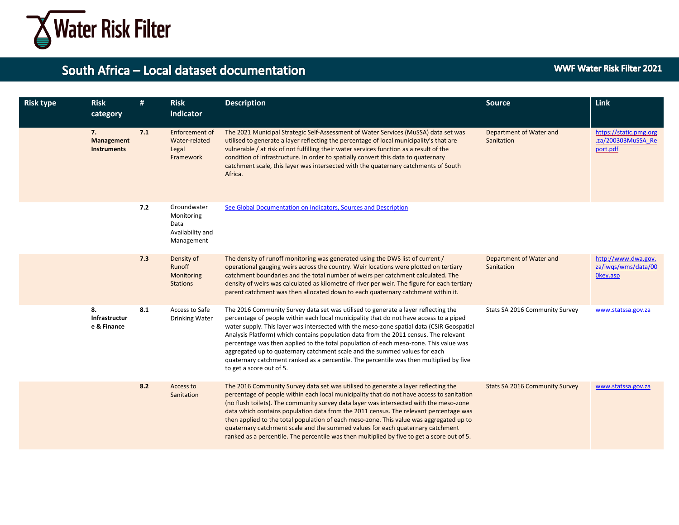

| <b>Risk type</b> | <b>Risk</b><br>category                | #   | <b>Risk</b><br>indicator                                            | <b>Description</b>                                                                                                                                                                                                                                                                                                                                                                                                                                                                                                                                                                                                                                              | <b>Source</b>                         | Link                                                     |
|------------------|----------------------------------------|-----|---------------------------------------------------------------------|-----------------------------------------------------------------------------------------------------------------------------------------------------------------------------------------------------------------------------------------------------------------------------------------------------------------------------------------------------------------------------------------------------------------------------------------------------------------------------------------------------------------------------------------------------------------------------------------------------------------------------------------------------------------|---------------------------------------|----------------------------------------------------------|
|                  | 7.<br>Management<br><b>Instruments</b> | 7.1 | Enforcement of<br>Water-related<br>Legal<br>Framework               | The 2021 Municipal Strategic Self-Assessment of Water Services (MuSSA) data set was<br>utilised to generate a layer reflecting the percentage of local municipality's that are<br>vulnerable / at risk of not fulfilling their water services function as a result of the<br>condition of infrastructure. In order to spatially convert this data to quaternary<br>catchment scale, this layer was intersected with the quaternary catchments of South<br>Africa.                                                                                                                                                                                               | Department of Water and<br>Sanitation | https://static.pmg.org<br>.za/200303MuSSA Re<br>port.pdf |
|                  |                                        | 7.2 | Groundwater<br>Monitoring<br>Data<br>Availability and<br>Management | See Global Documentation on Indicators, Sources and Description                                                                                                                                                                                                                                                                                                                                                                                                                                                                                                                                                                                                 |                                       |                                                          |
|                  |                                        | 7.3 | Density of<br>Runoff<br>Monitoring<br><b>Stations</b>               | The density of runoff monitoring was generated using the DWS list of current /<br>operational gauging weirs across the country. Weir locations were plotted on tertiary<br>catchment boundaries and the total number of weirs per catchment calculated. The<br>density of weirs was calculated as kilometre of river per weir. The figure for each tertiary<br>parent catchment was then allocated down to each quaternary catchment within it.                                                                                                                                                                                                                 | Department of Water and<br>Sanitation | http://www.dwa.gov.<br>za/iwqs/wms/data/00<br>Okey.asp   |
|                  | 8.<br>Infrastructur<br>e & Finance     | 8.1 | Access to Safe<br><b>Drinking Water</b>                             | The 2016 Community Survey data set was utilised to generate a layer reflecting the<br>percentage of people within each local municipality that do not have access to a piped<br>water supply. This layer was intersected with the meso-zone spatial data (CSIR Geospatial<br>Analysis Platform) which contains population data from the 2011 census. The relevant<br>percentage was then applied to the total population of each meso-zone. This value was<br>aggregated up to quaternary catchment scale and the summed values for each<br>quaternary catchment ranked as a percentile. The percentile was then multiplied by five<br>to get a score out of 5. | Stats SA 2016 Community Survey        | www.statssa.gov.za                                       |
|                  |                                        | 8.2 | Access to<br>Sanitation                                             | The 2016 Community Survey data set was utilised to generate a layer reflecting the<br>percentage of people within each local municipality that do not have access to sanitation<br>(no flush toilets). The community survey data layer was intersected with the meso-zone<br>data which contains population data from the 2011 census. The relevant percentage was<br>then applied to the total population of each meso-zone. This value was aggregated up to<br>quaternary catchment scale and the summed values for each quaternary catchment<br>ranked as a percentile. The percentile was then multiplied by five to get a score out of 5.                  | <b>Stats SA 2016 Community Survey</b> | www.statssa.gov.za                                       |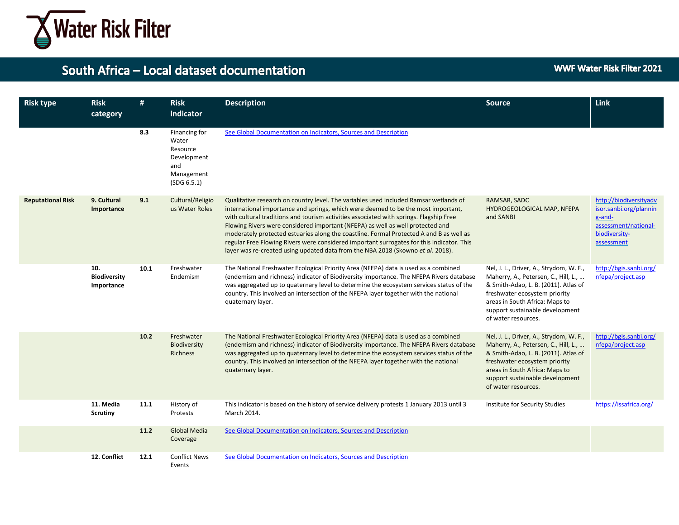

| <b>Risk type</b>         | <b>Risk</b><br>category                  | #    | <b>Risk</b><br>indicator                                                              | <b>Description</b>                                                                                                                                                                                                                                                                                                                                                                                                                                                                                                                                                                                                                | <b>Source</b>                                                                                                                                                                                                                                        | Link                                                                                                              |
|--------------------------|------------------------------------------|------|---------------------------------------------------------------------------------------|-----------------------------------------------------------------------------------------------------------------------------------------------------------------------------------------------------------------------------------------------------------------------------------------------------------------------------------------------------------------------------------------------------------------------------------------------------------------------------------------------------------------------------------------------------------------------------------------------------------------------------------|------------------------------------------------------------------------------------------------------------------------------------------------------------------------------------------------------------------------------------------------------|-------------------------------------------------------------------------------------------------------------------|
|                          |                                          | 8.3  | Financing for<br>Water<br>Resource<br>Development<br>and<br>Management<br>(SDG 6.5.1) | See Global Documentation on Indicators, Sources and Description                                                                                                                                                                                                                                                                                                                                                                                                                                                                                                                                                                   |                                                                                                                                                                                                                                                      |                                                                                                                   |
| <b>Reputational Risk</b> | 9. Cultural<br>Importance                | 9.1  | Cultural/Religio<br>us Water Roles                                                    | Qualitative research on country level. The variables used included Ramsar wetlands of<br>international importance and springs, which were deemed to be the most important,<br>with cultural traditions and tourism activities associated with springs. Flagship Free<br>Flowing Rivers were considered important (NFEPA) as well as well protected and<br>moderately protected estuaries along the coastline. Formal Protected A and B as well as<br>regular Free Flowing Rivers were considered important surrogates for this indicator. This<br>layer was re-created using updated data from the NBA 2018 (Skowno et al. 2018). | RAMSAR, SADC<br>HYDROGEOLOGICAL MAP, NFEPA<br>and SANBI                                                                                                                                                                                              | http://biodiversityadv<br>isor.sanbi.org/plannin<br>g-and-<br>assessment/national-<br>biodiversity-<br>assessment |
|                          | 10.<br><b>Biodiversity</b><br>Importance | 10.1 | Freshwater<br>Endemism                                                                | The National Freshwater Ecological Priority Area (NFEPA) data is used as a combined<br>(endemism and richness) indicator of Biodiversity importance. The NFEPA Rivers database<br>was aggregated up to quaternary level to determine the ecosystem services status of the<br>country. This involved an intersection of the NFEPA layer together with the national<br>quaternary layer.                                                                                                                                                                                                                                            | Nel, J. L., Driver, A., Strydom, W. F.,<br>Maherry, A., Petersen, C., Hill, L.,<br>& Smith-Adao, L. B. (2011). Atlas of<br>freshwater ecosystem priority<br>areas in South Africa: Maps to<br>support sustainable development<br>of water resources. | http://bgis.sanbi.org/<br>nfepa/project.asp                                                                       |
|                          |                                          | 10.2 | Freshwater<br>Biodiversity<br><b>Richness</b>                                         | The National Freshwater Ecological Priority Area (NFEPA) data is used as a combined<br>(endemism and richness) indicator of Biodiversity importance. The NFEPA Rivers database<br>was aggregated up to quaternary level to determine the ecosystem services status of the<br>country. This involved an intersection of the NFEPA layer together with the national<br>quaternary layer.                                                                                                                                                                                                                                            | Nel, J. L., Driver, A., Strydom, W. F.,<br>Maherry, A., Petersen, C., Hill, L.,<br>& Smith-Adao, L. B. (2011). Atlas of<br>freshwater ecosystem priority<br>areas in South Africa: Maps to<br>support sustainable development<br>of water resources. | http://bgis.sanbi.org/<br>nfepa/project.asp                                                                       |
|                          | 11. Media<br><b>Scrutiny</b>             | 11.1 | History of<br>Protests                                                                | This indicator is based on the history of service delivery protests 1 January 2013 until 3<br>March 2014.                                                                                                                                                                                                                                                                                                                                                                                                                                                                                                                         | Institute for Security Studies                                                                                                                                                                                                                       | https://issafrica.org/                                                                                            |
|                          |                                          | 11.2 | <b>Global Media</b><br>Coverage                                                       | See Global Documentation on Indicators, Sources and Description                                                                                                                                                                                                                                                                                                                                                                                                                                                                                                                                                                   |                                                                                                                                                                                                                                                      |                                                                                                                   |
|                          | 12. Conflict                             | 12.1 | <b>Conflict News</b><br>Events                                                        | See Global Documentation on Indicators, Sources and Description                                                                                                                                                                                                                                                                                                                                                                                                                                                                                                                                                                   |                                                                                                                                                                                                                                                      |                                                                                                                   |